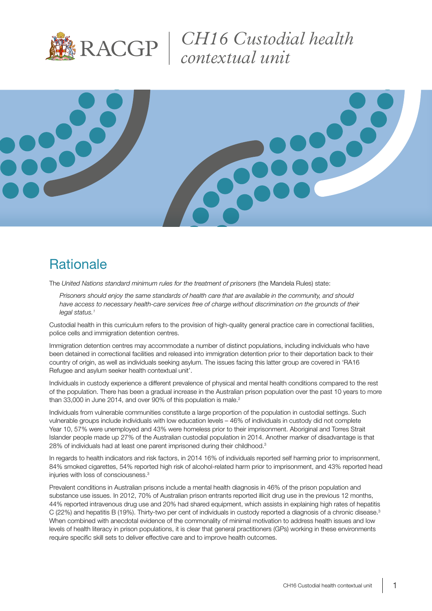

*CH16 Custodial health contextual unit*



## **Rationale**

The *United Nations standard minimum rules for the treatment of prisoners* (the Mandela Rules) state:

*Prisoners should enjoy the same standards of health care that are available in the community, and should*  have access to necessary health-care services free of charge without discrimination on the grounds of their *legal status.1*

Custodial health in this curriculum refers to the provision of high-quality general practice care in correctional facilities, police cells and immigration detention centres.

Immigration detention centres may accommodate a number of distinct populations, including individuals who have been detained in correctional facilities and released into immigration detention prior to their deportation back to their country of origin, as well as individuals seeking asylum. The issues facing this latter group are covered in 'RA16 Refugee and asylum seeker health contextual unit'.

Individuals in custody experience a different prevalence of physical and mental health conditions compared to the rest of the population. There has been a gradual increase in the Australian prison population over the past 10 years to more than 33,000 in June 2014, and over 90% of this population is male.<sup>2</sup>

Individuals from vulnerable communities constitute a large proportion of the population in custodial settings. Such vulnerable groups include individuals with low education levels – 46% of individuals in custody did not complete Year 10, 57% were unemployed and 43% were homeless prior to their imprisonment. Aboriginal and Torres Strait Islander people made up 27% of the Australian custodial population in 2014. Another marker of disadvantage is that 28% of individuals had at least one parent imprisoned during their childhood.<sup>3</sup>

In regards to health indicators and risk factors, in 2014 16% of individuals reported self harming prior to imprisonment, 84% smoked cigarettes, 54% reported high risk of alcohol-related harm prior to imprisonment, and 43% reported head injuries with loss of consciousness.<sup>3</sup>

Prevalent conditions in Australian prisons include a mental health diagnosis in 46% of the prison population and substance use issues. In 2012, 70% of Australian prison entrants reported illicit drug use in the previous 12 months, 44% reported intravenous drug use and 20% had shared equipment, which assists in explaining high rates of hepatitis C (22%) and hepatitis B (19%). Thirty-two per cent of individuals in custody reported a diagnosis of a chronic disease.<sup>3</sup> When combined with anecdotal evidence of the commonality of minimal motivation to address health issues and low levels of health literacy in prison populations, it is clear that general practitioners (GPs) working in these environments require specific skill sets to deliver effective care and to improve health outcomes.